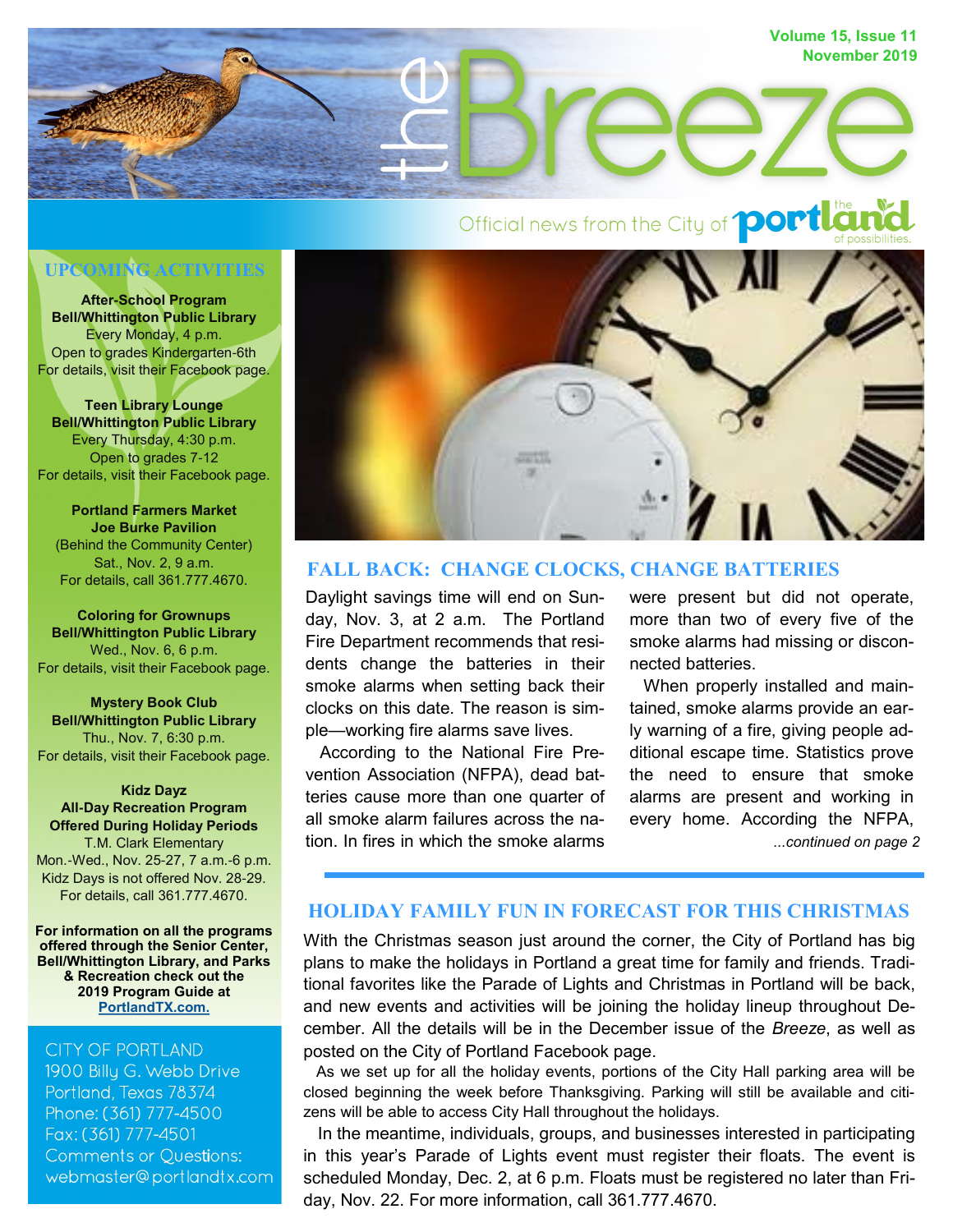

# Official news from the City of **port to the**

# **UPCOMING ACTIVITIES**

**After-School Program Bell/Whittington Public Library** Every Monday, 4 p.m. Open to grades Kindergarten-6th For details, visit their Facebook page.

**Teen Library Lounge Bell/Whittington Public Library** Every Thursday, 4:30 p.m. Open to grades 7-12 For details, visit their Facebook page.

**Portland Farmers Market Joe Burke Pavilion** (Behind the Community Center) Sat., Nov. 2, 9 a.m. For details, call 361.777.4670.

**Coloring for Grownups Bell/Whittington Public Library** Wed., Nov. 6, 6 p.m. For details, visit their Facebook page.

**Mystery Book Club Bell/Whittington Public Library** Thu., Nov. 7, 6:30 p.m. For details, visit their Facebook page.

**Kidz Dayz All-Day Recreation Program Offered During Holiday Periods** T.M. Clark Elementary Mon.-Wed., Nov. 25-27, 7 a.m.-6 p.m. Kidz Days is not offered Nov. 28-29. For details, call 361.777.4670.

**For information on all the programs offered through the Senior Center, Bell/Whittington Library, and Parks & Recreation check out the 2019 Program Guide at [PortlandTX.com.](http://portlandtx.com/index.aspx?nid=126)**

CITY OF PORTLAND 1900 Billy G. Webb Drive Portland, Texas 78374 Phone: (361) 777-4500 Fax: (361) 777-4501 **Comments or Questions:** webmaster@portlandtx.com



#### **FALL BACK: CHANGE CLOCKS, CHANGE BATTERIES**

Daylight savings time will end on Sunday, Nov. 3, at 2 a.m. The Portland Fire Department recommends that residents change the batteries in their smoke alarms when setting back their clocks on this date. The reason is simple—working fire alarms save lives.

 According to the National Fire Prevention Association (NFPA), dead batteries cause more than one quarter of all smoke alarm failures across the nation. In fires in which the smoke alarms were present but did not operate, more than two of every five of the smoke alarms had missing or disconnected batteries.

*...continued on page 2* When properly installed and maintained, smoke alarms provide an early warning of a fire, giving people additional escape time. Statistics prove the need to ensure that smoke alarms are present and working in every home. According the NFPA,

# **HOLIDAY FAMILY FUN IN FORECAST FOR THIS CHRISTMAS**

With the Christmas season just around the corner, the City of Portland has big plans to make the holidays in Portland a great time for family and friends. Traditional favorites like the Parade of Lights and Christmas in Portland will be back, and new events and activities will be joining the holiday lineup throughout December. All the details will be in the December issue of the *Breeze*, as well as posted on the City of Portland Facebook page.

 As we set up for all the holiday events, portions of the City Hall parking area will be closed beginning the week before Thanksgiving. Parking will still be available and citizens will be able to access City Hall throughout the holidays.

 In the meantime, individuals, groups, and businesses interested in participating in this year's Parade of Lights event must register their floats. The event is scheduled Monday, Dec. 2, at 6 p.m. Floats must be registered no later than Friday, Nov. 22. For more information, call 361.777.4670.